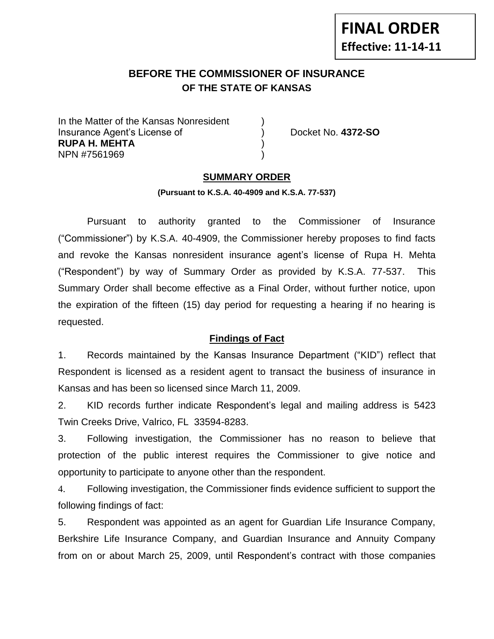# **FINAL ORDER Effective: 11-14-11**

# **BEFORE THE COMMISSIONER OF INSURANCE OF THE STATE OF KANSAS**

In the Matter of the Kansas Nonresident Insurance Agent's License of ) Docket No. **4372-SO RUPA H. MEHTA** ) NPN #7561969 )

## **SUMMARY ORDER**

#### **(Pursuant to K.S.A. 40-4909 and K.S.A. 77-537)**

Pursuant to authority granted to the Commissioner of Insurance ("Commissioner") by K.S.A. 40-4909, the Commissioner hereby proposes to find facts and revoke the Kansas nonresident insurance agent's license of Rupa H. Mehta ("Respondent") by way of Summary Order as provided by K.S.A. 77-537. This Summary Order shall become effective as a Final Order, without further notice, upon the expiration of the fifteen (15) day period for requesting a hearing if no hearing is requested.

## **Findings of Fact**

1. Records maintained by the Kansas Insurance Department ("KID") reflect that Respondent is licensed as a resident agent to transact the business of insurance in Kansas and has been so licensed since March 11, 2009.

2. KID records further indicate Respondent's legal and mailing address is 5423 Twin Creeks Drive, Valrico, FL 33594-8283.

3. Following investigation, the Commissioner has no reason to believe that protection of the public interest requires the Commissioner to give notice and opportunity to participate to anyone other than the respondent.

4. Following investigation, the Commissioner finds evidence sufficient to support the following findings of fact:

5. Respondent was appointed as an agent for Guardian Life Insurance Company, Berkshire Life Insurance Company, and Guardian Insurance and Annuity Company from on or about March 25, 2009, until Respondent's contract with those companies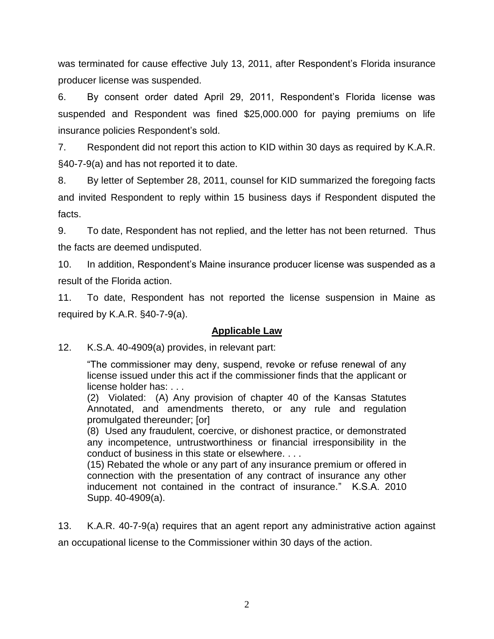was terminated for cause effective July 13, 2011, after Respondent's Florida insurance producer license was suspended.

6. By consent order dated April 29, 2011, Respondent's Florida license was suspended and Respondent was fined \$25,000.000 for paying premiums on life insurance policies Respondent's sold.

7. Respondent did not report this action to KID within 30 days as required by K.A.R. §40-7-9(a) and has not reported it to date.

8. By letter of September 28, 2011, counsel for KID summarized the foregoing facts and invited Respondent to reply within 15 business days if Respondent disputed the facts.

9. To date, Respondent has not replied, and the letter has not been returned. Thus the facts are deemed undisputed.

10. In addition, Respondent's Maine insurance producer license was suspended as a result of the Florida action.

11. To date, Respondent has not reported the license suspension in Maine as required by K.A.R. §40-7-9(a).

## **Applicable Law**

12. K.S.A. 40-4909(a) provides, in relevant part:

"The commissioner may deny, suspend, revoke or refuse renewal of any license issued under this act if the commissioner finds that the applicant or license holder has: . . .

(2) Violated: (A) Any provision of chapter 40 of the Kansas Statutes Annotated, and amendments thereto, or any rule and regulation promulgated thereunder; [or]

(8) Used any fraudulent, coercive, or dishonest practice, or demonstrated any incompetence, untrustworthiness or financial irresponsibility in the conduct of business in this state or elsewhere. . . .

(15) Rebated the whole or any part of any insurance premium or offered in connection with the presentation of any contract of insurance any other inducement not contained in the contract of insurance." K.S.A. 2010 Supp. 40-4909(a).

13. K.A.R. 40-7-9(a) requires that an agent report any administrative action against an occupational license to the Commissioner within 30 days of the action.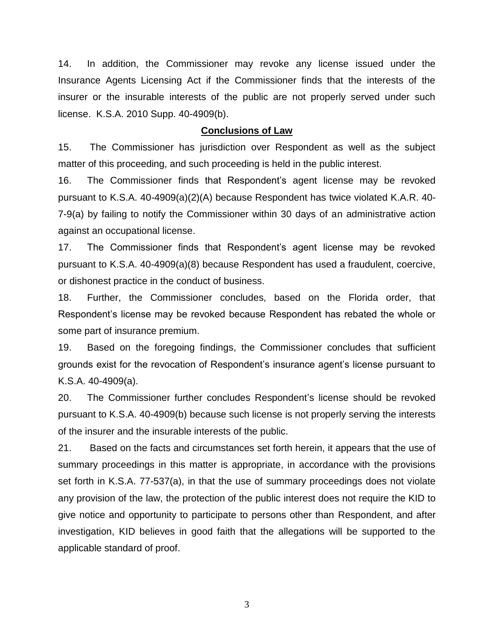14. In addition, the Commissioner may revoke any license issued under the Insurance Agents Licensing Act if the Commissioner finds that the interests of the insurer or the insurable interests of the public are not properly served under such license. K.S.A. 2010 Supp. 40-4909(b).

#### **Conclusions of Law**

15. The Commissioner has jurisdiction over Respondent as well as the subject matter of this proceeding, and such proceeding is held in the public interest.

16. The Commissioner finds that Respondent's agent license may be revoked pursuant to K.S.A. 40-4909(a)(2)(A) because Respondent has twice violated K.A.R. 40- 7-9(a) by failing to notify the Commissioner within 30 days of an administrative action against an occupational license.

17. The Commissioner finds that Respondent's agent license may be revoked pursuant to K.S.A. 40-4909(a)(8) because Respondent has used a fraudulent, coercive, or dishonest practice in the conduct of business.

18. Further, the Commissioner concludes, based on the Florida order, that Respondent's license may be revoked because Respondent has rebated the whole or some part of insurance premium.

19. Based on the foregoing findings, the Commissioner concludes that sufficient grounds exist for the revocation of Respondent's insurance agent's license pursuant to K.S.A. 40-4909(a).

20. The Commissioner further concludes Respondent's license should be revoked pursuant to K.S.A. 40-4909(b) because such license is not properly serving the interests of the insurer and the insurable interests of the public.

21. Based on the facts and circumstances set forth herein, it appears that the use of summary proceedings in this matter is appropriate, in accordance with the provisions set forth in K.S.A. 77-537(a), in that the use of summary proceedings does not violate any provision of the law, the protection of the public interest does not require the KID to give notice and opportunity to participate to persons other than Respondent, and after investigation, KID believes in good faith that the allegations will be supported to the applicable standard of proof.

3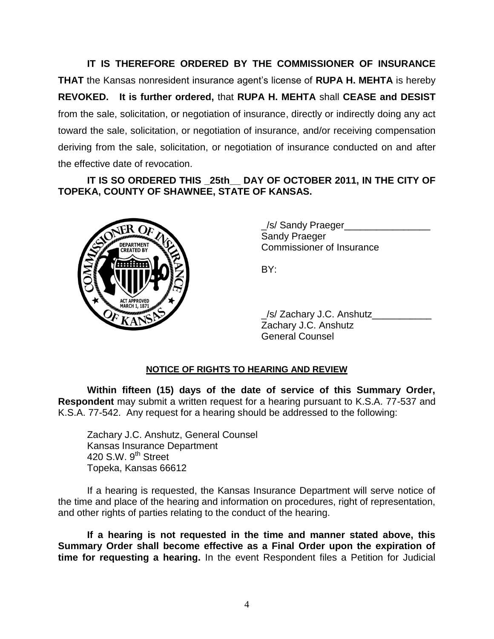**IT IS THEREFORE ORDERED BY THE COMMISSIONER OF INSURANCE THAT** the Kansas nonresident insurance agent's license of **RUPA H. MEHTA** is hereby **REVOKED. It is further ordered,** that **RUPA H. MEHTA** shall **CEASE and DESIST** from the sale, solicitation, or negotiation of insurance, directly or indirectly doing any act toward the sale, solicitation, or negotiation of insurance, and/or receiving compensation deriving from the sale, solicitation, or negotiation of insurance conducted on and after the effective date of revocation.

**IT IS SO ORDERED THIS \_25th\_\_ DAY OF OCTOBER 2011, IN THE CITY OF TOPEKA, COUNTY OF SHAWNEE, STATE OF KANSAS.**



\_/s/ Sandy Praeger\_\_\_\_\_\_\_\_\_\_\_\_\_\_\_\_ Sandy Praeger Commissioner of Insurance

BY:

\_/s/ Zachary J.C. Anshutz\_\_\_\_\_\_\_\_\_\_\_ Zachary J.C. Anshutz General Counsel

## **NOTICE OF RIGHTS TO HEARING AND REVIEW**

**Within fifteen (15) days of the date of service of this Summary Order, Respondent** may submit a written request for a hearing pursuant to K.S.A. 77-537 and K.S.A. 77-542. Any request for a hearing should be addressed to the following:

Zachary J.C. Anshutz, General Counsel Kansas Insurance Department 420 S.W.  $9^{th}$  Street Topeka, Kansas 66612

If a hearing is requested, the Kansas Insurance Department will serve notice of the time and place of the hearing and information on procedures, right of representation, and other rights of parties relating to the conduct of the hearing.

**If a hearing is not requested in the time and manner stated above, this Summary Order shall become effective as a Final Order upon the expiration of time for requesting a hearing.** In the event Respondent files a Petition for Judicial